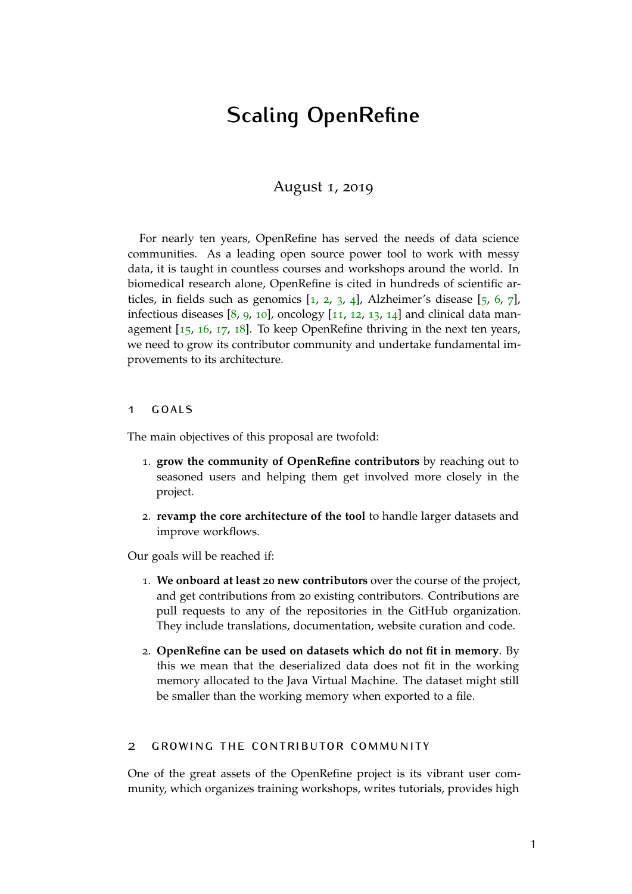# **Scaling OpenRefine**

# August 1, 2019

For nearly ten years, OpenRefine has served the needs of data science communities. As a leading open source power tool to work with messy data, it is taught in countless courses and workshops around the world. In biomedical research alone, OpenRefine is cited in hundreds of scientific articles, in fields such as genomics  $[1, 2, 3, 4]$  $[1, 2, 3, 4]$  $[1, 2, 3, 4]$  $[1, 2, 3, 4]$  $[1, 2, 3, 4]$  $[1, 2, 3, 4]$  $[1, 2, 3, 4]$  $[1, 2, 3, 4]$  $[1, 2, 3, 4]$ , Alzheimer's disease  $[5, 6, 7]$  $[5, 6, 7]$  $[5, 6, 7]$  $[5, 6, 7]$  $[5, 6, 7]$  $[5, 6, 7]$  $[5, 6, 7]$ , infectious diseases  $[8, 9, 10]$  $[8, 9, 10]$  $[8, 9, 10]$  $[8, 9, 10]$  $[8, 9, 10]$  $[8, 9, 10]$  $[8, 9, 10]$ , oncology  $[11, 12, 13, 14]$  $[11, 12, 13, 14]$  $[11, 12, 13, 14]$  $[11, 12, 13, 14]$  $[11, 12, 13, 14]$  $[11, 12, 13, 14]$  $[11, 12, 13, 14]$  $[11, 12, 13, 14]$  $[11, 12, 13, 14]$  and clinical data management [[15](#page-7-3), [16](#page-7-4), [17](#page-7-5), [18](#page-7-6)]. To keep OpenRefine thriving in the next ten years, we need to grow its contributor community and undertake fundamental improvements to its architecture.

# 1  $GOMS$

The main objectives of this proposal are twofold:

- 1. **grow the community of OpenRefine contributors** by reaching out to seasoned users and helping them get involved more closely in the project.
- 2. **revamp the core architecture of the tool** to handle larger datasets and improve workflows.

Our goals will be reached if:

- 1. **We onboard at least 20 new contributors** over the course of the project, and get contributions from 20 existing contributors. Contributions are pull requests to any of the repositories in the GitHub organization. They include translations, documentation, website curation and code.
- 2. **OpenRefine can be used on datasets which do not fit in memory**. By this we mean that the deserialized data does not fit in the working memory allocated to the Java Virtual Machine. The dataset might still be smaller than the working memory when exported to a file.

# 2 growing the contributor community

One of the great assets of the OpenRefine project is its vibrant user community, which organizes training workshops, writes tutorials, provides high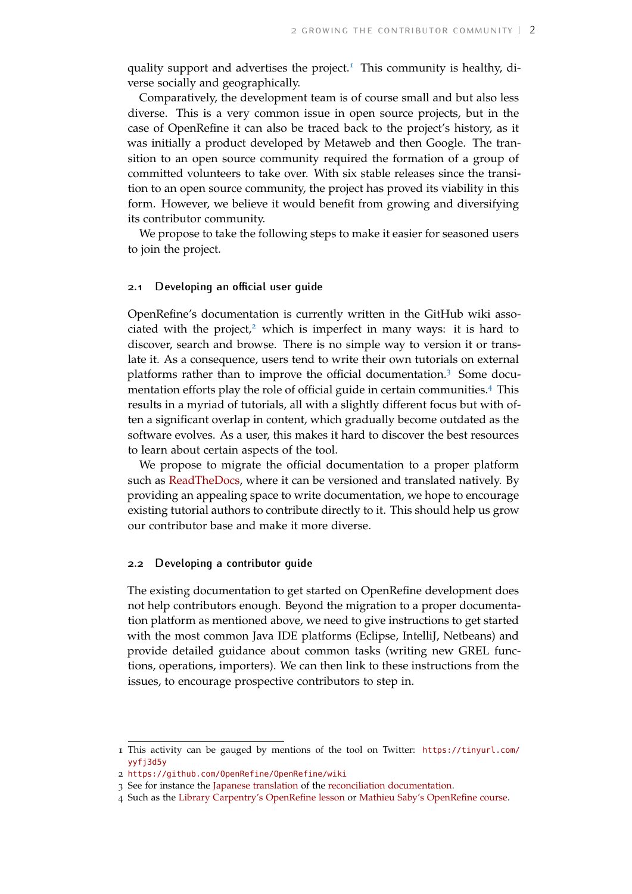quality support and advertises the project.<sup>[1](#page-1-0)</sup> This community is healthy, diverse socially and geographically.

Comparatively, the development team is of course small and but also less diverse. This is a very common issue in open source projects, but in the case of OpenRefine it can also be traced back to the project's history, as it was initially a product developed by Metaweb and then Google. The transition to an open source community required the formation of a group of committed volunteers to take over. With six stable releases since the transition to an open source community, the project has proved its viability in this form. However, we believe it would benefit from growing and diversifying its contributor community.

We propose to take the following steps to make it easier for seasoned users to join the project.

#### **2.1 Developing an official user guide**

OpenRefine's documentation is currently written in the GitHub wiki asso-ciated with the project,<sup>[2](#page-1-1)</sup> which is imperfect in many ways: it is hard to discover, search and browse. There is no simple way to version it or translate it. As a consequence, users tend to write their own tutorials on external platforms rather than to improve the official documentation.[3](#page-1-2) Some documentation efforts play the role of official guide in certain communities.[4](#page-1-3) This results in a myriad of tutorials, all with a slightly different focus but with often a significant overlap in content, which gradually become outdated as the software evolves. As a user, this makes it hard to discover the best resources to learn about certain aspects of the tool.

We propose to migrate the official documentation to a proper platform such as [ReadTheDocs,](https://read-the-docs.readthedocs.io/en/latest/index.html) where it can be versioned and translated natively. By providing an appealing space to write documentation, we hope to encourage existing tutorial authors to contribute directly to it. This should help us grow our contributor base and make it more diverse.

# **2.2 Developing a contributor guide**

The existing documentation to get started on OpenRefine development does not help contributors enough. Beyond the migration to a proper documentation platform as mentioned above, we need to give instructions to get started with the most common Java IDE platforms (Eclipse, IntelliJ, Netbeans) and provide detailed guidance about common tasks (writing new GREL functions, operations, importers). We can then link to these instructions from the issues, to encourage prospective contributors to step in.

<span id="page-1-0"></span><sup>1</sup> This activity can be gauged by mentions of the tool on Twitter: [https://tinyurl.com/](https://tinyurl.com/yyfj3d5y) [yyfj3d5y](https://tinyurl.com/yyfj3d5y)

<span id="page-1-1"></span><sup>2</sup> <https://github.com/OpenRefine/OpenRefine/wiki>

<span id="page-1-3"></span><span id="page-1-2"></span><sup>3</sup> See for instance the [Japanese translation](https://qiita.com/yayamamo/items/eade3e5788e6f359bce7) of the [reconciliation documentation.](https://github.com/OpenRefine/OpenRefine/wiki/Reconciliation)

<sup>4</sup> Such as the [Library Carpentry's OpenRefine lesson](https://librarycarpentry.org/lc-open-refine/) or [Mathieu Saby's OpenRefine course.](https://msaby.gitlab.io/formation-openrefine-BULAC/)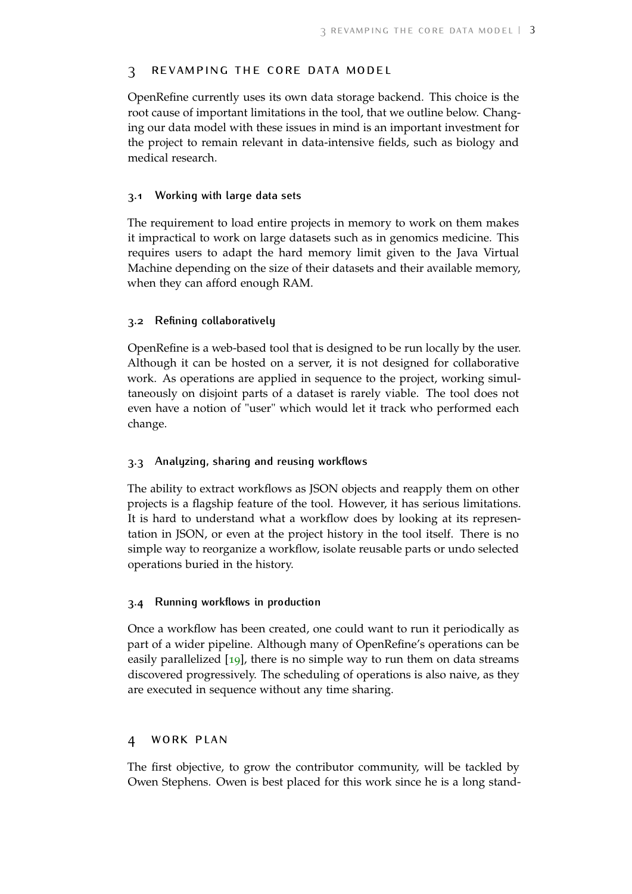# 3 revamping the core data model

OpenRefine currently uses its own data storage backend. This choice is the root cause of important limitations in the tool, that we outline below. Changing our data model with these issues in mind is an important investment for the project to remain relevant in data-intensive fields, such as biology and medical research.

# **3.1 Working with large data sets**

The requirement to load entire projects in memory to work on them makes it impractical to work on large datasets such as in genomics medicine. This requires users to adapt the hard memory limit given to the Java Virtual Machine depending on the size of their datasets and their available memory, when they can afford enough RAM.

# **3.2 Refining collaboratively**

OpenRefine is a web-based tool that is designed to be run locally by the user. Although it can be hosted on a server, it is not designed for collaborative work. As operations are applied in sequence to the project, working simultaneously on disjoint parts of a dataset is rarely viable. The tool does not even have a notion of "user" which would let it track who performed each change.

#### **3.3 Analyzing, sharing and reusing workflows**

The ability to extract workflows as JSON objects and reapply them on other projects is a flagship feature of the tool. However, it has serious limitations. It is hard to understand what a workflow does by looking at its representation in JSON, or even at the project history in the tool itself. There is no simple way to reorganize a workflow, isolate reusable parts or undo selected operations buried in the history.

#### **3.4 Running workflows in production**

Once a workflow has been created, one could want to run it periodically as part of a wider pipeline. Although many of OpenRefine's operations can be easily parallelized [[19](#page-7-7)], there is no simple way to run them on data streams discovered progressively. The scheduling of operations is also naive, as they are executed in sequence without any time sharing.

# 4 work plan

The first objective, to grow the contributor community, will be tackled by Owen Stephens. Owen is best placed for this work since he is a long stand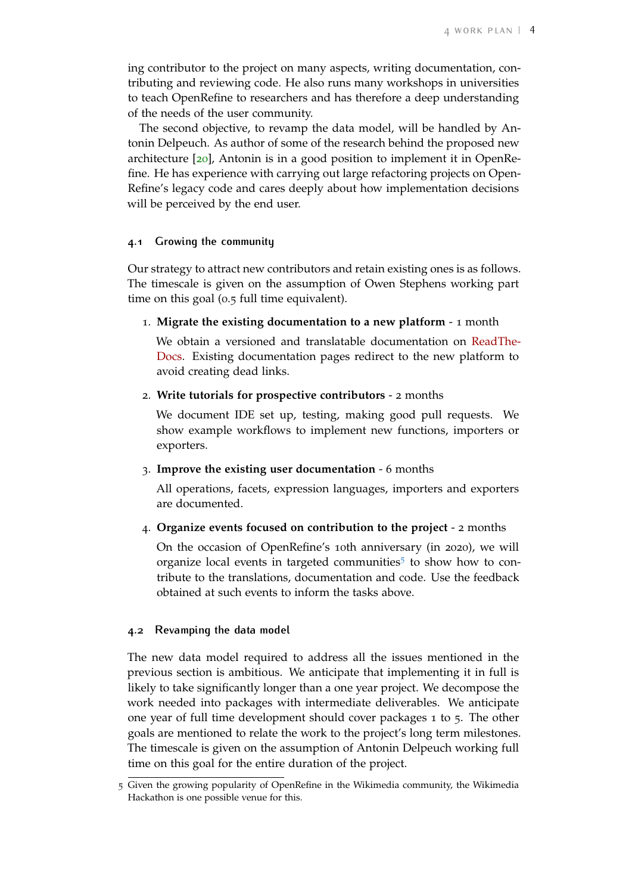ing contributor to the project on many aspects, writing documentation, contributing and reviewing code. He also runs many workshops in universities to teach OpenRefine to researchers and has therefore a deep understanding of the needs of the user community.

The second objective, to revamp the data model, will be handled by Antonin Delpeuch. As author of some of the research behind the proposed new architecture [[20](#page-7-8)], Antonin is in a good position to implement it in OpenRefine. He has experience with carrying out large refactoring projects on Open-Refine's legacy code and cares deeply about how implementation decisions will be perceived by the end user.

# **4.1 Growing the community**

Our strategy to attract new contributors and retain existing ones is as follows. The timescale is given on the assumption of Owen Stephens working part time on this goal (0.5 full time equivalent).

1. **Migrate the existing documentation to a new platform** - 1 month

We obtain a versioned and translatable documentation on [ReadThe-](https://read-the-docs.readthedocs.io/en/latest/index.html)[Docs.](https://read-the-docs.readthedocs.io/en/latest/index.html) Existing documentation pages redirect to the new platform to avoid creating dead links.

# 2. **Write tutorials for prospective contributors** - 2 months

We document IDE set up, testing, making good pull requests. We show example workflows to implement new functions, importers or exporters.

3. **Improve the existing user documentation** - 6 months

All operations, facets, expression languages, importers and exporters are documented.

4. **Organize events focused on contribution to the project** - 2 months

On the occasion of OpenRefine's 10th anniversary (in 2020), we will organize local events in targeted communities<sup>[5](#page-3-0)</sup> to show how to contribute to the translations, documentation and code. Use the feedback obtained at such events to inform the tasks above.

# **4.2 Revamping the data model**

The new data model required to address all the issues mentioned in the previous section is ambitious. We anticipate that implementing it in full is likely to take significantly longer than a one year project. We decompose the work needed into packages with intermediate deliverables. We anticipate one year of full time development should cover packages 1 to 5. The other goals are mentioned to relate the work to the project's long term milestones. The timescale is given on the assumption of Antonin Delpeuch working full time on this goal for the entire duration of the project.

<span id="page-3-0"></span><sup>5</sup> Given the growing popularity of OpenRefine in the Wikimedia community, the Wikimedia Hackathon is one possible venue for this.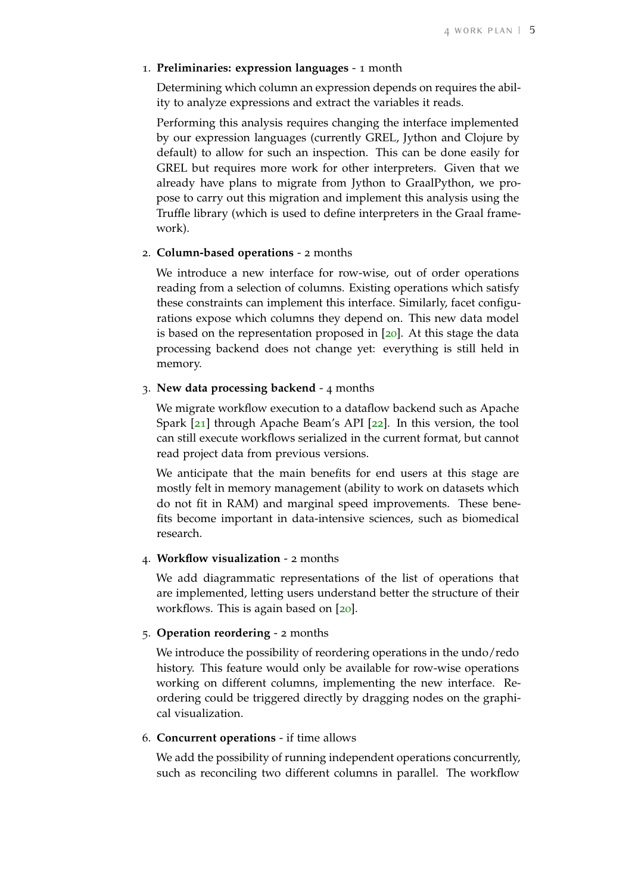#### 1. **Preliminaries: expression languages** - 1 month

Determining which column an expression depends on requires the ability to analyze expressions and extract the variables it reads.

Performing this analysis requires changing the interface implemented by our expression languages (currently GREL, Jython and Clojure by default) to allow for such an inspection. This can be done easily for GREL but requires more work for other interpreters. Given that we already have plans to migrate from Jython to GraalPython, we propose to carry out this migration and implement this analysis using the Truffle library (which is used to define interpreters in the Graal framework).

# 2. **Column-based operations** - 2 months

We introduce a new interface for row-wise, out of order operations reading from a selection of columns. Existing operations which satisfy these constraints can implement this interface. Similarly, facet configurations expose which columns they depend on. This new data model is based on the representation proposed in [[20](#page-7-8)]. At this stage the data processing backend does not change yet: everything is still held in memory.

# 3. **New data processing backend** - 4 months

We migrate workflow execution to a dataflow backend such as Apache Spark [[21](#page-7-9)] through Apache Beam's API [[22](#page-8-0)]. In this version, the tool can still execute workflows serialized in the current format, but cannot read project data from previous versions.

We anticipate that the main benefits for end users at this stage are mostly felt in memory management (ability to work on datasets which do not fit in RAM) and marginal speed improvements. These benefits become important in data-intensive sciences, such as biomedical research.

# 4. **Workflow visualization** - 2 months

We add diagrammatic representations of the list of operations that are implemented, letting users understand better the structure of their workflows. This is again based on [[20](#page-7-8)].

#### 5. **Operation reordering** - 2 months

We introduce the possibility of reordering operations in the undo/redo history. This feature would only be available for row-wise operations working on different columns, implementing the new interface. Reordering could be triggered directly by dragging nodes on the graphical visualization.

# 6. **Concurrent operations** - if time allows

We add the possibility of running independent operations concurrently, such as reconciling two different columns in parallel. The workflow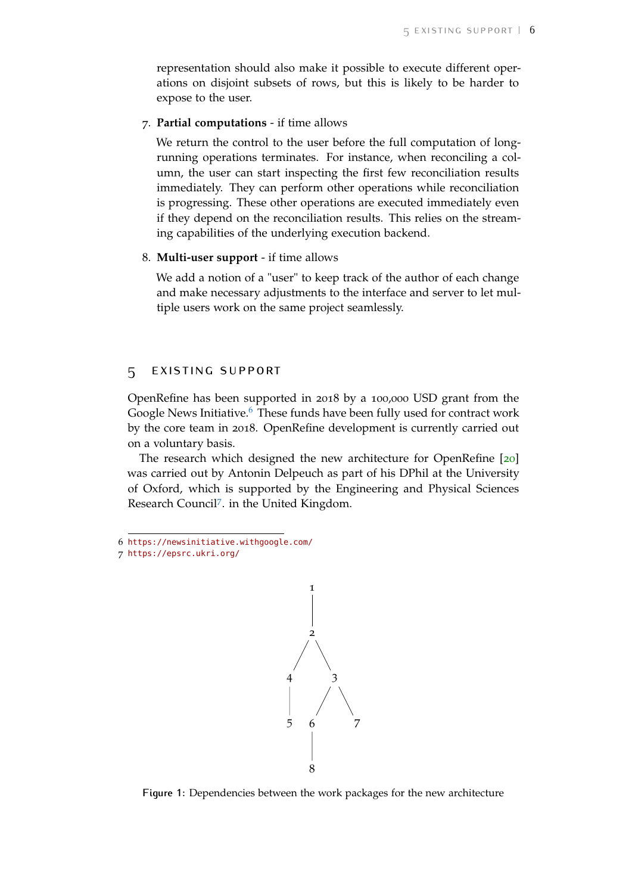representation should also make it possible to execute different operations on disjoint subsets of rows, but this is likely to be harder to expose to the user.

# 7. **Partial computations** - if time allows

We return the control to the user before the full computation of longrunning operations terminates. For instance, when reconciling a column, the user can start inspecting the first few reconciliation results immediately. They can perform other operations while reconciliation is progressing. These other operations are executed immediately even if they depend on the reconciliation results. This relies on the streaming capabilities of the underlying execution backend.

#### 8. **Multi-user support** - if time allows

We add a notion of a "user" to keep track of the author of each change and make necessary adjustments to the interface and server to let multiple users work on the same project seamlessly.

# 5 existing support

OpenRefine has been supported in 2018 by a 100,000 USD grant from the Google News Initiative.<sup>[6](#page-5-0)</sup> These funds have been fully used for contract work by the core team in 2018. OpenRefine development is currently carried out on a voluntary basis.

The research which designed the new architecture for OpenRefine [[20](#page-7-8)] was carried out by Antonin Delpeuch as part of his DPhil at the University of Oxford, which is supported by the Engineering and Physical Sciences Research Council[7](#page-5-1) . in the United Kingdom.

<span id="page-5-0"></span>6 <https://newsinitiative.withgoogle.com/>

<span id="page-5-1"></span><sup>7</sup> <https://epsrc.ukri.org/>



**Figure 1:** Dependencies between the work packages for the new architecture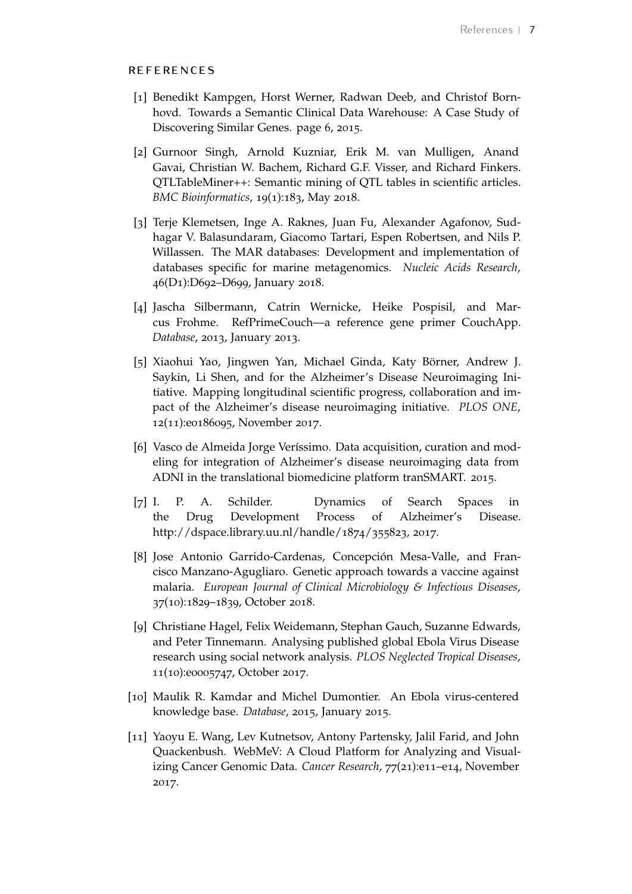# **REFERENCES**

- <span id="page-6-0"></span>[1] Benedikt Kampgen, Horst Werner, Radwan Deeb, and Christof Bornhovd. Towards a Semantic Clinical Data Warehouse: A Case Study of Discovering Similar Genes. page 6, 2015.
- <span id="page-6-1"></span>[2] Gurnoor Singh, Arnold Kuzniar, Erik M. van Mulligen, Anand Gavai, Christian W. Bachem, Richard G.F. Visser, and Richard Finkers. QTLTableMiner++: Semantic mining of QTL tables in scientific articles. *BMC Bioinformatics*, 19(1):183, May 2018.
- <span id="page-6-2"></span>[3] Terje Klemetsen, Inge A. Raknes, Juan Fu, Alexander Agafonov, Sudhagar V. Balasundaram, Giacomo Tartari, Espen Robertsen, and Nils P. Willassen. The MAR databases: Development and implementation of databases specific for marine metagenomics. *Nucleic Acids Research*, 46(D1):D692–D699, January 2018.
- <span id="page-6-3"></span>[4] Jascha Silbermann, Catrin Wernicke, Heike Pospisil, and Marcus Frohme. RefPrimeCouch—a reference gene primer CouchApp. *Database*, 2013, January 2013.
- <span id="page-6-4"></span>[5] Xiaohui Yao, Jingwen Yan, Michael Ginda, Katy Börner, Andrew J. Saykin, Li Shen, and for the Alzheimer's Disease Neuroimaging Initiative. Mapping longitudinal scientific progress, collaboration and impact of the Alzheimer's disease neuroimaging initiative. *PLOS ONE*, 12(11):e0186095, November 2017.
- <span id="page-6-5"></span>[6] Vasco de Almeida Jorge Veríssimo. Data acquisition, curation and modeling for integration of Alzheimer's disease neuroimaging data from ADNI in the translational biomedicine platform tranSMART. 2015.
- <span id="page-6-6"></span>[7] I. P. A. Schilder. Dynamics of Search Spaces in the Drug Development Process of Alzheimer's Disease. http://dspace.library.uu.nl/handle/1874/355823, 2017.
- <span id="page-6-7"></span>[8] Jose Antonio Garrido-Cardenas, Concepción Mesa-Valle, and Francisco Manzano-Agugliaro. Genetic approach towards a vaccine against malaria. *European Journal of Clinical Microbiology & Infectious Diseases*, 37(10):1829–1839, October 2018.
- <span id="page-6-8"></span>[9] Christiane Hagel, Felix Weidemann, Stephan Gauch, Suzanne Edwards, and Peter Tinnemann. Analysing published global Ebola Virus Disease research using social network analysis. *PLOS Neglected Tropical Diseases*, 11(10):e0005747, October 2017.
- <span id="page-6-9"></span>[10] Maulik R. Kamdar and Michel Dumontier. An Ebola virus-centered knowledge base. *Database*, 2015, January 2015.
- <span id="page-6-10"></span>[11] Yaoyu E. Wang, Lev Kutnetsov, Antony Partensky, Jalil Farid, and John Quackenbush. WebMeV: A Cloud Platform for Analyzing and Visualizing Cancer Genomic Data. *Cancer Research*, 77(21):e11–e14, November 2017.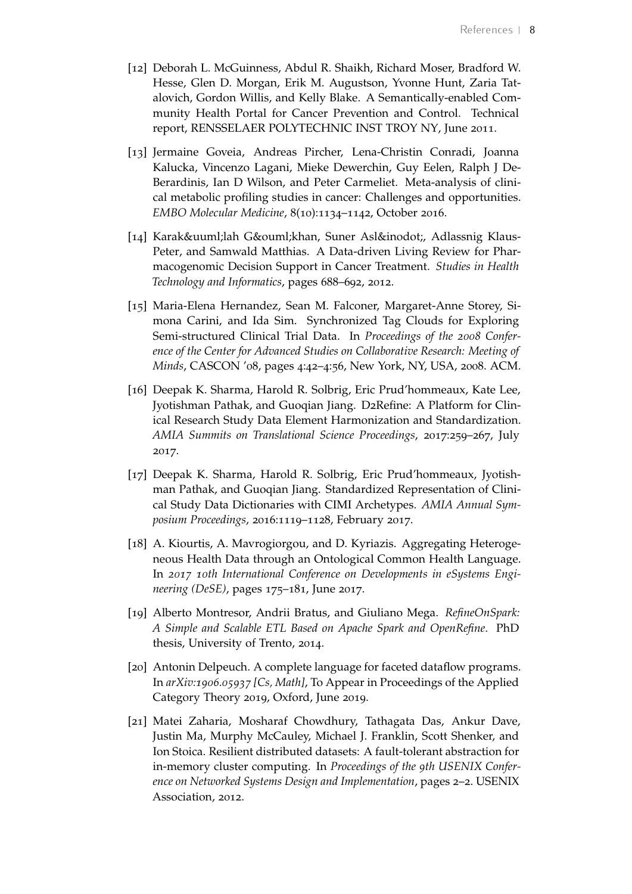- <span id="page-7-0"></span>[12] Deborah L. McGuinness, Abdul R. Shaikh, Richard Moser, Bradford W. Hesse, Glen D. Morgan, Erik M. Augustson, Yvonne Hunt, Zaria Tatalovich, Gordon Willis, and Kelly Blake. A Semantically-enabled Community Health Portal for Cancer Prevention and Control. Technical report, RENSSELAER POLYTECHNIC INST TROY NY, June 2011.
- <span id="page-7-1"></span>[13] Jermaine Goveia, Andreas Pircher, Lena-Christin Conradi, Joanna Kalucka, Vincenzo Lagani, Mieke Dewerchin, Guy Eelen, Ralph J De-Berardinis, Ian D Wilson, and Peter Carmeliet. Meta-analysis of clinical metabolic profiling studies in cancer: Challenges and opportunities. *EMBO Molecular Medicine*, 8(10):1134–1142, October 2016.
- <span id="page-7-2"></span>[14] Karakülah Gökhan, Suner Aslı, Adlassnig Klaus-Peter, and Samwald Matthias. A Data-driven Living Review for Pharmacogenomic Decision Support in Cancer Treatment. *Studies in Health Technology and Informatics*, pages 688–692, 2012.
- <span id="page-7-3"></span>[15] Maria-Elena Hernandez, Sean M. Falconer, Margaret-Anne Storey, Simona Carini, and Ida Sim. Synchronized Tag Clouds for Exploring Semi-structured Clinical Trial Data. In *Proceedings of the 2008 Conference of the Center for Advanced Studies on Collaborative Research: Meeting of Minds*, CASCON '08, pages 4:42–4:56, New York, NY, USA, 2008. ACM.
- <span id="page-7-4"></span>[16] Deepak K. Sharma, Harold R. Solbrig, Eric Prud'hommeaux, Kate Lee, Jyotishman Pathak, and Guoqian Jiang. D2Refine: A Platform for Clinical Research Study Data Element Harmonization and Standardization. *AMIA Summits on Translational Science Proceedings*, 2017:259–267, July 2017.
- <span id="page-7-5"></span>[17] Deepak K. Sharma, Harold R. Solbrig, Eric Prud'hommeaux, Jyotishman Pathak, and Guoqian Jiang. Standardized Representation of Clinical Study Data Dictionaries with CIMI Archetypes. *AMIA Annual Symposium Proceedings*, 2016:1119–1128, February 2017.
- <span id="page-7-6"></span>[18] A. Kiourtis, A. Mavrogiorgou, and D. Kyriazis. Aggregating Heterogeneous Health Data through an Ontological Common Health Language. In *2017 10th International Conference on Developments in eSystems Engineering (DeSE)*, pages 175–181, June 2017.
- <span id="page-7-7"></span>[19] Alberto Montresor, Andrii Bratus, and Giuliano Mega. *RefineOnSpark: A Simple and Scalable ETL Based on Apache Spark and OpenRefine*. PhD thesis, University of Trento, 2014.
- <span id="page-7-8"></span>[20] Antonin Delpeuch. A complete language for faceted dataflow programs. In *arXiv:1906.05937 [Cs, Math]*, To Appear in Proceedings of the Applied Category Theory 2019, Oxford, June 2019.
- <span id="page-7-9"></span>[21] Matei Zaharia, Mosharaf Chowdhury, Tathagata Das, Ankur Dave, Justin Ma, Murphy McCauley, Michael J. Franklin, Scott Shenker, and Ion Stoica. Resilient distributed datasets: A fault-tolerant abstraction for in-memory cluster computing. In *Proceedings of the 9th USENIX Conference on Networked Systems Design and Implementation*, pages 2–2. USENIX Association, 2012.